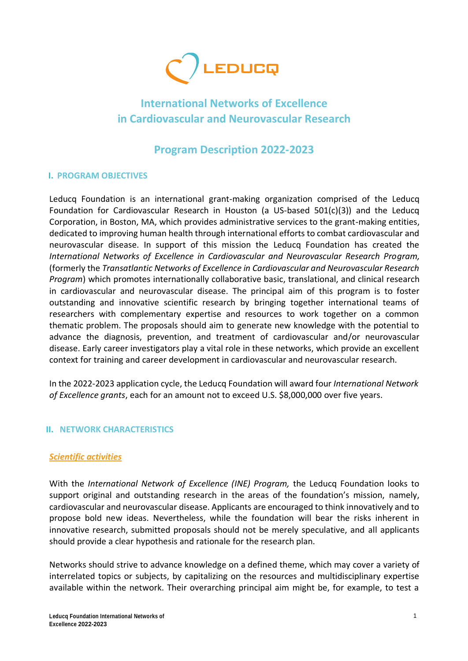

# **International Networks of Excellence in Cardiovascular and Neurovascular Research**

## **Program Description 2022-2023**

## **I. PROGRAM OBJECTIVES**

Leducq Foundation is an international grant-making organization comprised of the Leducq Foundation for Cardiovascular Research in Houston (a US-based 501(c)(3)) and the Leducq Corporation, in Boston, MA, which provides administrative services to the grant-making entities, dedicated to improving human health through international efforts to combat cardiovascular and neurovascular disease. In support of this mission the Leducq Foundation has created the *International Networks of Excellence in Cardiovascular and Neurovascular Research Program,* (formerly the *Transatlantic Networks of Excellence in Cardiovascular and Neurovascular Research Program*) which promotes internationally collaborative basic, translational, and clinical research in cardiovascular and neurovascular disease. The principal aim of this program is to foster outstanding and innovative scientific research by bringing together international teams of researchers with complementary expertise and resources to work together on a common thematic problem. The proposals should aim to generate new knowledge with the potential to advance the diagnosis, prevention, and treatment of cardiovascular and/or neurovascular disease. Early career investigators play a vital role in these networks, which provide an excellent context for training and career development in cardiovascular and neurovascular research.

In the 2022-2023 application cycle, the Leducq Foundation will award four *International Network of Excellence grants*, each for an amount not to exceed U.S. \$8,000,000 over five years.

#### **II. NETWORK CHARACTERISTICS**

#### *Scientific activities*

With the *International Network of Excellence (INE) Program,* the Leducq Foundation looks to support original and outstanding research in the areas of the foundation's mission, namely, cardiovascular and neurovascular disease. Applicants are encouraged to think innovatively and to propose bold new ideas. Nevertheless, while the foundation will bear the risks inherent in innovative research, submitted proposals should not be merely speculative, and all applicants should provide a clear hypothesis and rationale for the research plan.

Networks should strive to advance knowledge on a defined theme, which may cover a variety of interrelated topics or subjects, by capitalizing on the resources and multidisciplinary expertise available within the network. Their overarching principal aim might be, for example, to test a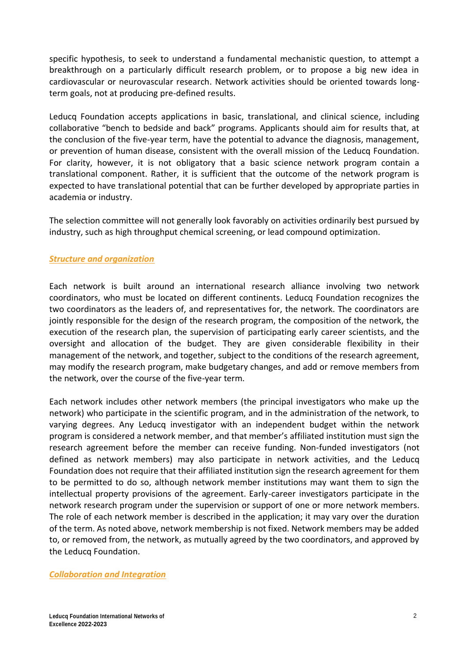specific hypothesis, to seek to understand a fundamental mechanistic question, to attempt a breakthrough on a particularly difficult research problem, or to propose a big new idea in cardiovascular or neurovascular research. Network activities should be oriented towards longterm goals, not at producing pre-defined results.

Leducq Foundation accepts applications in basic, translational, and clinical science, including collaborative "bench to bedside and back" programs. Applicants should aim for results that, at the conclusion of the five-year term, have the potential to advance the diagnosis, management, or prevention of human disease, consistent with the overall mission of the Leducq Foundation. For clarity, however, it is not obligatory that a basic science network program contain a translational component. Rather, it is sufficient that the outcome of the network program is expected to have translational potential that can be further developed by appropriate parties in academia or industry.

The selection committee will not generally look favorably on activities ordinarily best pursued by industry, such as high throughput chemical screening, or lead compound optimization.

## *Structure and organization*

Each network is built around an international research alliance involving two network coordinators, who must be located on different continents. Leducq Foundation recognizes the two coordinators as the leaders of, and representatives for, the network. The coordinators are jointly responsible for the design of the research program, the composition of the network, the execution of the research plan, the supervision of participating early career scientists, and the oversight and allocation of the budget. They are given considerable flexibility in their management of the network, and together, subject to the conditions of the research agreement, may modify the research program, make budgetary changes, and add or remove members from the network, over the course of the five-year term.

Each network includes other network members (the principal investigators who make up the network) who participate in the scientific program, and in the administration of the network, to varying degrees. Any Leducq investigator with an independent budget within the network program is considered a network member, and that member's affiliated institution must sign the research agreement before the member can receive funding. Non-funded investigators (not defined as network members) may also participate in network activities, and the Leducq Foundation does not require that their affiliated institution sign the research agreement for them to be permitted to do so, although network member institutions may want them to sign the intellectual property provisions of the agreement. Early-career investigators participate in the network research program under the supervision or support of one or more network members. The role of each network member is described in the application; it may vary over the duration of the term. As noted above, network membership is not fixed. Network members may be added to, or removed from, the network, as mutually agreed by the two coordinators, and approved by the Leducq Foundation.

#### *Collaboration and Integration*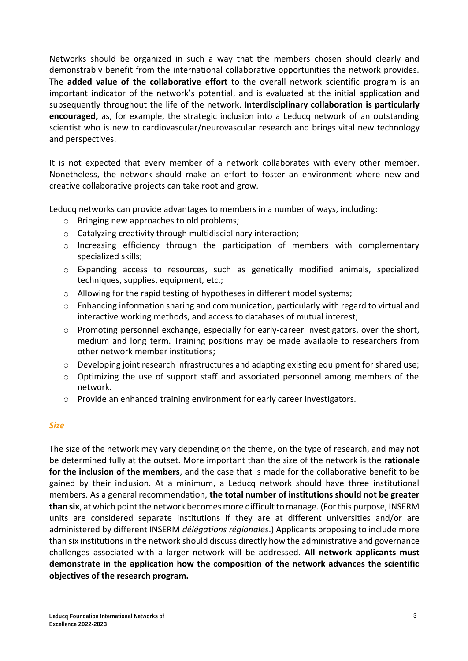Networks should be organized in such a way that the members chosen should clearly and demonstrably benefit from the international collaborative opportunities the network provides. The **added value of the collaborative effort** to the overall network scientific program is an important indicator of the network's potential, and is evaluated at the initial application and subsequently throughout the life of the network. **Interdisciplinary collaboration is particularly encouraged,** as, for example, the strategic inclusion into a Leducq network of an outstanding scientist who is new to cardiovascular/neurovascular research and brings vital new technology and perspectives.

It is not expected that every member of a network collaborates with every other member. Nonetheless, the network should make an effort to foster an environment where new and creative collaborative projects can take root and grow.

Leducq networks can provide advantages to members in a number of ways, including:

- o Bringing new approaches to old problems;
- o Catalyzing creativity through multidisciplinary interaction;
- o Increasing efficiency through the participation of members with complementary specialized skills;
- o Expanding access to resources, such as genetically modified animals, specialized techniques, supplies, equipment, etc.;
- o Allowing for the rapid testing of hypotheses in different model systems;
- $\circ$  Enhancing information sharing and communication, particularly with regard to virtual and interactive working methods, and access to databases of mutual interest;
- $\circ$  Promoting personnel exchange, especially for early-career investigators, over the short, medium and long term. Training positions may be made available to researchers from other network member institutions;
- $\circ$  Developing joint research infrastructures and adapting existing equipment for shared use;
- o Optimizing the use of support staff and associated personnel among members of the network.
- o Provide an enhanced training environment for early career investigators.

## *Size*

The size of the network may vary depending on the theme, on the type of research, and may not be determined fully at the outset. More important than the size of the network is the **rationale for the inclusion of the members**, and the case that is made for the collaborative benefit to be gained by their inclusion. At a minimum, a Leducq network should have three institutional members. As a general recommendation, **the total number of institutions should not be greater than six**, at which point the network becomes more difficult to manage. (For this purpose, INSERM units are considered separate institutions if they are at different universities and/or are administered by different INSERM *délégations régionales*.) Applicants proposing to include more than six institutions in the network should discuss directly how the administrative and governance challenges associated with a larger network will be addressed. **All network applicants must demonstrate in the application how the composition of the network advances the scientific objectives of the research program.**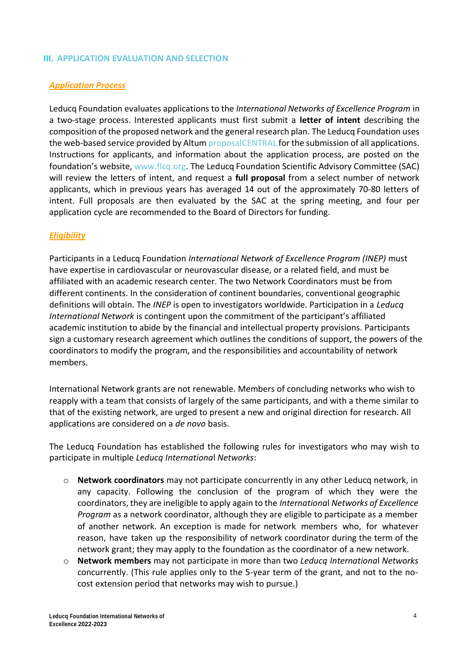#### **III. APPLICATION EVALUATION AND SELECTION**

#### *Application Process*

Leducq Foundation evaluates applications to the *International Networks of Excellence Program* in a two-stage process. Interested applicants must first submit a **letter of intent** describing the composition of the proposed network and the general research plan. The Leducq Foundation uses the web-based service provided by Altum [proposalCENTRAL](https://proposalcentral.com/) for the submission of all applications. Instructions for applicants, and information about the application process, are posted on the foundation's website, [www.flcq.org.](http://www.flcq.org/) The Leducq Foundation Scientific Advisory Committee (SAC) will review the letters of intent, and request a **full proposal** from a select number of network applicants, which in previous years has averaged 14 out of the approximately 70-80 letters of intent. Full proposals are then evaluated by the SAC at the spring meeting, and four per application cycle are recommended to the Board of Directors for funding.

#### *Eligibility*

Participants in a Leducq Foundation *International Network of Excellence Program (INEP)* must have expertise in cardiovascular or neurovascular disease, or a related field, and must be affiliated with an academic research center. The two Network Coordinators must be from different continents. In the consideration of continent boundaries, conventional geographic definitions will obtain. The *INEP* is open to investigators worldwide. Participation in a *Leducq International Network* is contingent upon the commitment of the participant's affiliated academic institution to abide by the financial and intellectual property provisions. Participants sign a customary research agreement which outlines the conditions of support, the powers of the coordinators to modify the program, and the responsibilities and accountability of network members.

International Network grants are not renewable. Members of concluding networks who wish to reapply with a team that consists of largely of the same participants, and with a theme similar to that of the existing network, are urged to present a new and original direction for research. All applications are considered on a *de novo* basis.

The Leducq Foundation has established the following rules for investigators who may wish to participate in multiple *Leducq Internationa*l *Networks*:

- o **Network coordinators** may not participate concurrently in any other Leducq network, in any capacity. Following the conclusion of the program of which they were the coordinators, they are ineligible to apply again to the *Internationa*l *Networks of Excellence Program* as a network coordinator, although they are eligible to participate as a member of another network. An exception is made for network members who, for whatever reason, have taken up the responsibility of network coordinator during the term of the network grant; they may apply to the foundation as the coordinator of a new network.
- o **Network members** may not participate in more than two *Leducq Internationa*l *Networks*  concurrently. (This rule applies only to the 5-year term of the grant, and not to the nocost extension period that networks may wish to pursue.)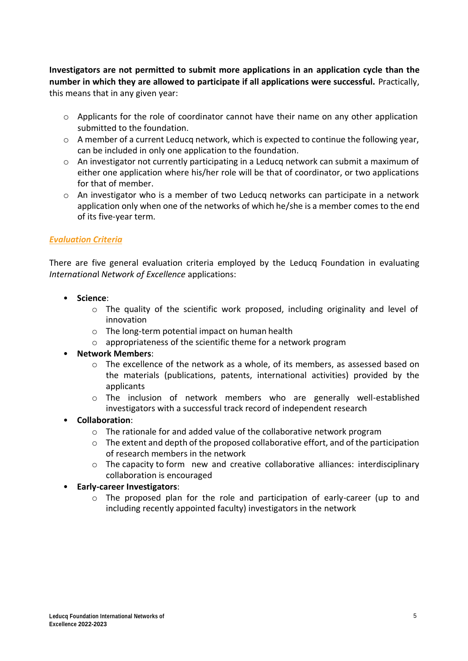**Investigators are not permitted to submit more applications in an application cycle than the number in which they are allowed to participate if all applications were successful.** Practically, this means that in any given year:

- $\circ$  Applicants for the role of coordinator cannot have their name on any other application submitted to the foundation.
- o A member of a current Leducq network, which is expected to continue the following year, can be included in only one application to the foundation.
- $\circ$  An investigator not currently participating in a Leducq network can submit a maximum of either one application where his/her role will be that of coordinator, or two applications for that of member.
- $\circ$  An investigator who is a member of two Leducq networks can participate in a network application only when one of the networks of which he/she is a member comes to the end of its five-year term.

## *Evaluation Criteria*

There are five general evaluation criteria employed by the Leducq Foundation in evaluating *Internationa*l *Network of Excellence* applications:

- **Science**:
	- o The quality of the scientific work proposed, including originality and level of innovation
	- o The long-term potential impact on human health
	- o appropriateness of the scientific theme for a network program
- **Network Members**:
	- $\circ$  The excellence of the network as a whole, of its members, as assessed based on the materials (publications, patents, international activities) provided by the applicants
	- o The inclusion of network members who are generally well-established investigators with a successful track record of independent research
- **Collaboration**:
	- $\circ$  The rationale for and added value of the collaborative network program
	- $\circ$  The extent and depth of the proposed collaborative effort, and of the participation of research members in the network
	- $\circ$  The capacity to form new and creative collaborative alliances: interdisciplinary collaboration is encouraged

## • **Early-career Investigators**:

 $\circ$  The proposed plan for the role and participation of early-career (up to and including recently appointed faculty) investigators in the network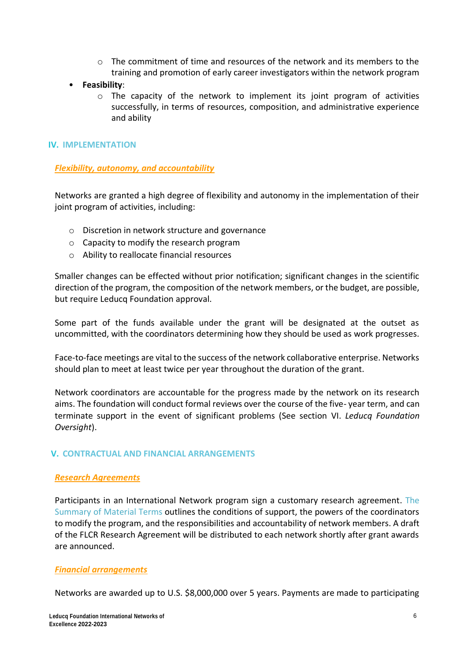- $\circ$  The commitment of time and resources of the network and its members to the training and promotion of early career investigators within the network program
- **Feasibility**:
	- $\circ$  The capacity of the network to implement its joint program of activities successfully, in terms of resources, composition, and administrative experience and ability

#### **IV. IMPLEMENTATION**

*Flexibility, autonomy, and accountability*

Networks are granted a high degree of flexibility and autonomy in the implementation of their joint program of activities, including:

- o Discretion in network structure and governance
- o Capacity to modify the research program
- o Ability to reallocate financial resources

Smaller changes can be effected without prior notification; significant changes in the scientific direction of the program, the composition of the network members, or the budget, are possible, but require Leducq Foundation approval.

Some part of the funds available under the grant will be designated at the outset as uncommitted, with the coordinators determining how they should be used as work progresses.

Face-to-face meetings are vital to the success of the network collaborative enterprise. Networks should plan to meet at least twice per year throughout the duration of the grant.

Network coordinators are accountable for the progress made by the network on its research aims. The foundation will conduct formal reviews over the course of the five- year term, and can terminate support in the event of significant problems (See section VI. *Leducq Foundation Oversight*).

## **V. CONTRACTUAL AND FINANCIAL ARRANGEMENTS**

#### *Research Agreements*

Participants in an International Network program sign a customary research agreement. [The](http://fondationleducq.insightful.design/wp-content/uploads/2019/05/4.-FLCQ-Summary-of-Material-Terms_RA-5.30.19-MOC.docx)  [Summary of Material Terms](http://fondationleducq.insightful.design/wp-content/uploads/2019/05/4.-FLCQ-Summary-of-Material-Terms_RA-5.30.19-MOC.docx) outlines the conditions of support, the powers of the coordinators to modify the program, and the responsibilities and accountability of network members. A draft of the FLCR Research Agreement will be distributed to each network shortly after grant awards are announced.

#### *Financial arrangements*

Networks are awarded up to U.S. \$8,000,000 over 5 years. Payments are made to participating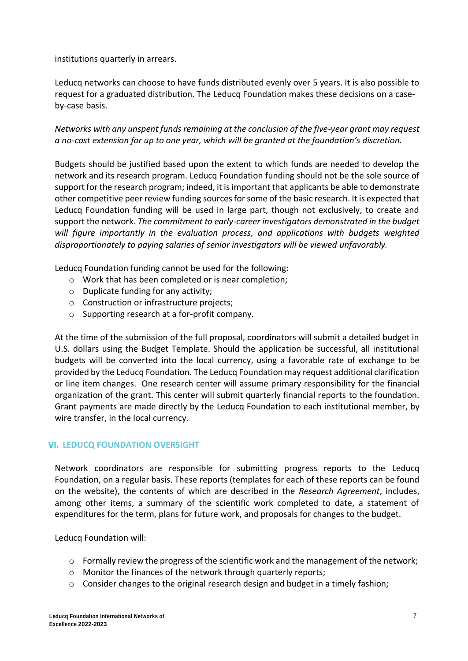institutions quarterly in arrears.

Leducq networks can choose to have funds distributed evenly over 5 years. It is also possible to request for a graduated distribution. The Leducq Foundation makes these decisions on a caseby-case basis.

*Networks with any unspent funds remaining at the conclusion of the five-year grant may request a no-cost extension for up to one year, which will be granted at the foundation's discretion.*

Budgets should be justified based upon the extent to which funds are needed to develop the network and its research program. Leducq Foundation funding should not be the sole source of support for the research program; indeed, it is important that applicants be able to demonstrate other competitive peer review funding sources for some of the basic research. It is expected that Leducq Foundation funding will be used in large part, though not exclusively, to create and support the network. *The commitment to early-career investigators demonstrated in the budget will figure importantly in the evaluation process, and applications with budgets weighted disproportionately to paying salaries of senior investigators will be viewed unfavorably.*

Leducq Foundation funding cannot be used for the following:

- o Work that has been completed or is near completion;
- o Duplicate funding for any activity;
- o Construction or infrastructure projects;
- o Supporting research at a for-profit company.

At the time of the submission of the full proposal, coordinators will submit a detailed budget in U.S. dollars using the Budget Template. Should the application be successful, all institutional budgets will be converted into the local currency, using a favorable rate of exchange to be provided by the Leducq Foundation. The Leducq Foundation may request additional clarification or line item changes. One research center will assume primary responsibility for the financial organization of the grant. This center will submit quarterly financial reports to the foundation. Grant payments are made directly by the Leducq Foundation to each institutional member, by wire transfer, in the local currency.

#### **VI. LEDUCQ FOUNDATION OVERSIGHT**

Network coordinators are responsible for submitting progress reports to the Leducq Foundation, on a regular basis. These reports (templates for each of these reports can be found on the website), the contents of which are described in the *Research Agreement*, includes, among other items, a summary of the scientific work completed to date, a statement of expenditures for the term, plans for future work, and proposals for changes to the budget.

Leducq Foundation will:

- $\circ$  Formally review the progress of the scientific work and the management of the network;
- o Monitor the finances of the network through quarterly reports;
- $\circ$  Consider changes to the original research design and budget in a timely fashion;